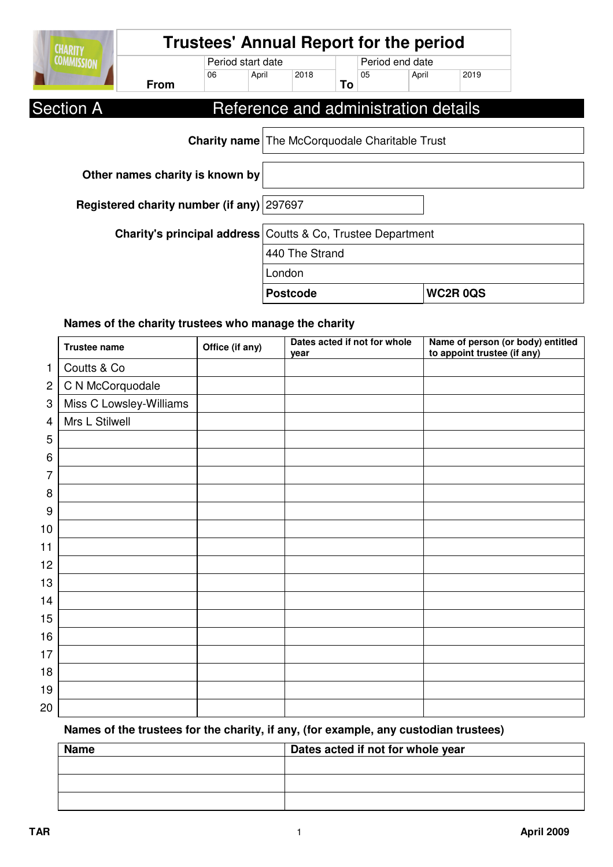| <b>CHARITY</b>    |                                                                        |                   |       |                 |    |                 | <b>Trustees' Annual Report for the period</b>         |                |  |
|-------------------|------------------------------------------------------------------------|-------------------|-------|-----------------|----|-----------------|-------------------------------------------------------|----------------|--|
| <b>COMMISSION</b> |                                                                        | Period start date |       |                 |    | Period end date |                                                       |                |  |
|                   | <b>From</b>                                                            | 06                | April | 2018            | To | 05              | April                                                 | 2019           |  |
| <b>Section A</b>  |                                                                        |                   |       |                 |    |                 | Reference and administration details                  |                |  |
|                   |                                                                        |                   |       |                 |    |                 | <b>Charity name</b> The McCorquodale Charitable Trust |                |  |
|                   | Other names charity is known by                                        |                   |       |                 |    |                 |                                                       |                |  |
|                   | Registered charity number (if any) 297697                              |                   |       |                 |    |                 |                                                       |                |  |
|                   | <b>Charity's principal address Coutts &amp; Co, Trustee Department</b> |                   |       |                 |    |                 |                                                       |                |  |
|                   |                                                                        |                   |       | 440 The Strand  |    |                 |                                                       |                |  |
|                   |                                                                        |                   |       | London          |    |                 |                                                       |                |  |
|                   |                                                                        |                   |       | <b>Postcode</b> |    |                 |                                                       | <b>WC2R0QS</b> |  |

#### **Names of the charity trustees who manage the charity**

|                | <b>Trustee name</b>     | Office (if any) | Dates acted if not for whole<br>year | Name of person (or body) entitled<br>to appoint trustee (if any) |
|----------------|-------------------------|-----------------|--------------------------------------|------------------------------------------------------------------|
| 1              | Coutts & Co             |                 |                                      |                                                                  |
| $\overline{c}$ | C N McCorquodale        |                 |                                      |                                                                  |
| $\mathbf{3}$   | Miss C Lowsley-Williams |                 |                                      |                                                                  |
| $\overline{4}$ | Mrs L Stilwell          |                 |                                      |                                                                  |
| 5              |                         |                 |                                      |                                                                  |
| 6              |                         |                 |                                      |                                                                  |
| 7              |                         |                 |                                      |                                                                  |
| 8              |                         |                 |                                      |                                                                  |
| $9\,$          |                         |                 |                                      |                                                                  |
| 10             |                         |                 |                                      |                                                                  |
| 11             |                         |                 |                                      |                                                                  |
| 12             |                         |                 |                                      |                                                                  |
| 13             |                         |                 |                                      |                                                                  |
| 14             |                         |                 |                                      |                                                                  |
| 15             |                         |                 |                                      |                                                                  |
| 16             |                         |                 |                                      |                                                                  |
| 17             |                         |                 |                                      |                                                                  |
| 18             |                         |                 |                                      |                                                                  |
| 19             |                         |                 |                                      |                                                                  |
| 20             |                         |                 |                                      |                                                                  |

### **Names of the trustees for the charity, if any, (for example, any custodian trustees)**

| <b>Name</b> | Dates acted if not for whole year |
|-------------|-----------------------------------|
|             |                                   |
|             |                                   |
|             |                                   |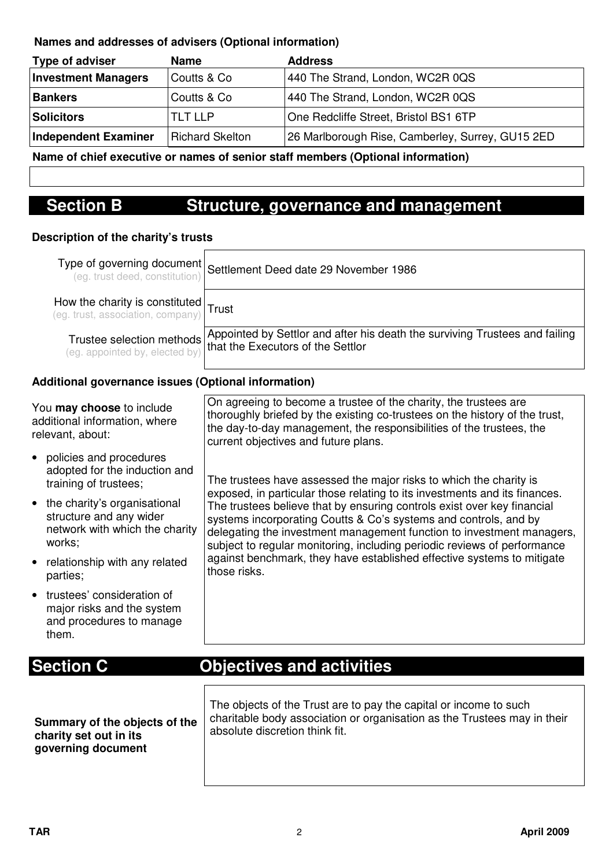#### **Names and addresses of advisers (Optional information)**

| Type of adviser            | <b>Name</b>            | <b>Address</b>                                   |
|----------------------------|------------------------|--------------------------------------------------|
| <b>Investment Managers</b> | Coutts & Co            | 440 The Strand, London, WC2R 0QS                 |
| Bankers                    | Coutts & Co            | 440 The Strand, London, WC2R 0QS                 |
| Solicitors                 | <b>TLT LLP</b>         | One Redcliffe Street, Bristol BS1 6TP            |
| Independent Examiner       | <b>Richard Skelton</b> | 26 Marlborough Rise, Camberley, Surrey, GU15 2ED |

**Name of chief executive or names of senior staff members (Optional information)** 

## **Section B Structure, governance and management**

#### **Description of the charity's trusts**

|                                                                           | Type of governing document<br>(eg. trust deed, constitution) Settlement Deed date 29 November 1986                                                                     |
|---------------------------------------------------------------------------|------------------------------------------------------------------------------------------------------------------------------------------------------------------------|
| How the charity is constituted<br>(eg. trust, association, company) Trust |                                                                                                                                                                        |
|                                                                           | Trustee selection methods Appointed by Settlor and after his death the surviving Trustees and failing (eg. appointed by, elected by) that the Executors of the Settlor |

#### **Additional governance issues (Optional information)**

| You may choose to include<br>additional information, where<br>relevant, about:                                                                                                                                                                                                                                                                                                | On agreeing to become a trustee of the charity, the trustees are<br>thoroughly briefed by the existing co-trustees on the history of the trust,<br>the day-to-day management, the responsibilities of the trustees, the<br>current objectives and future plans.                                                                                                                                                                                                                                                                                |
|-------------------------------------------------------------------------------------------------------------------------------------------------------------------------------------------------------------------------------------------------------------------------------------------------------------------------------------------------------------------------------|------------------------------------------------------------------------------------------------------------------------------------------------------------------------------------------------------------------------------------------------------------------------------------------------------------------------------------------------------------------------------------------------------------------------------------------------------------------------------------------------------------------------------------------------|
| policies and procedures<br>$\bullet$<br>adopted for the induction and<br>training of trustees;<br>the charity's organisational<br>$\bullet$<br>structure and any wider<br>network with which the charity<br>works:<br>relationship with any related<br>parties;<br>trustees' consideration of<br>$\bullet$<br>major risks and the system<br>and procedures to manage<br>them. | The trustees have assessed the major risks to which the charity is<br>exposed, in particular those relating to its investments and its finances.<br>The trustees believe that by ensuring controls exist over key financial<br>systems incorporating Coutts & Co's systems and controls, and by<br>delegating the investment management function to investment managers,<br>subject to regular monitoring, including periodic reviews of performance<br>against benchmark, they have established effective systems to mitigate<br>those risks. |
| <b>Section C</b>                                                                                                                                                                                                                                                                                                                                                              | <b>Objectives and activities</b>                                                                                                                                                                                                                                                                                                                                                                                                                                                                                                               |
| Summary of the objects of the<br>charity set out in its<br>governing document                                                                                                                                                                                                                                                                                                 | The objects of the Trust are to pay the capital or income to such<br>charitable body association or organisation as the Trustees may in their<br>absolute discretion think fit.                                                                                                                                                                                                                                                                                                                                                                |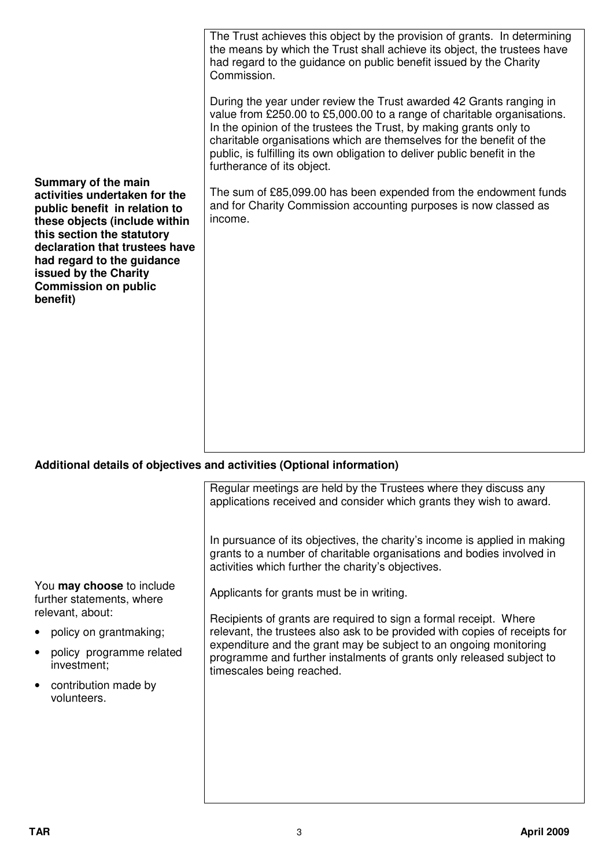| Summary of the main<br>activities undertaken for the<br>public benefit in relation to<br>these objects (include within<br>this section the statutory<br>declaration that trustees have<br>had regard to the guidance<br>issued by the Charity<br><b>Commission on public</b><br>benefit) | The Trust achieves this object by the provision of grants. In determining<br>the means by which the Trust shall achieve its object, the trustees have<br>had regard to the guidance on public benefit issued by the Charity<br>Commission.<br>During the year under review the Trust awarded 42 Grants ranging in<br>value from £250.00 to £5,000.00 to a range of charitable organisations.<br>In the opinion of the trustees the Trust, by making grants only to<br>charitable organisations which are themselves for the benefit of the<br>public, is fulfilling its own obligation to deliver public benefit in the<br>furtherance of its object.<br>The sum of £85,099.00 has been expended from the endowment funds<br>and for Charity Commission accounting purposes is now classed as<br>income. |
|------------------------------------------------------------------------------------------------------------------------------------------------------------------------------------------------------------------------------------------------------------------------------------------|----------------------------------------------------------------------------------------------------------------------------------------------------------------------------------------------------------------------------------------------------------------------------------------------------------------------------------------------------------------------------------------------------------------------------------------------------------------------------------------------------------------------------------------------------------------------------------------------------------------------------------------------------------------------------------------------------------------------------------------------------------------------------------------------------------|
|                                                                                                                                                                                                                                                                                          |                                                                                                                                                                                                                                                                                                                                                                                                                                                                                                                                                                                                                                                                                                                                                                                                          |

#### **Additional details of objectives and activities (Optional information)**

|                                                               | Regular meetings are held by the Trustees where they discuss any<br>applications received and consider which grants they wish to award.                                                                  |
|---------------------------------------------------------------|----------------------------------------------------------------------------------------------------------------------------------------------------------------------------------------------------------|
|                                                               | In pursuance of its objectives, the charity's income is applied in making<br>grants to a number of charitable organisations and bodies involved in<br>activities which further the charity's objectives. |
| You <b>may choose</b> to include<br>further statements, where | Applicants for grants must be in writing.                                                                                                                                                                |
| relevant, about:                                              | Recipients of grants are required to sign a formal receipt. Where                                                                                                                                        |
| policy on grantmaking;                                        | relevant, the trustees also ask to be provided with copies of receipts for                                                                                                                               |
| policy programme related<br>investment;                       | expenditure and the grant may be subject to an ongoing monitoring<br>programme and further instalments of grants only released subject to<br>timescales being reached.                                   |
| contribution made by<br>volunteers.                           |                                                                                                                                                                                                          |
|                                                               |                                                                                                                                                                                                          |
|                                                               |                                                                                                                                                                                                          |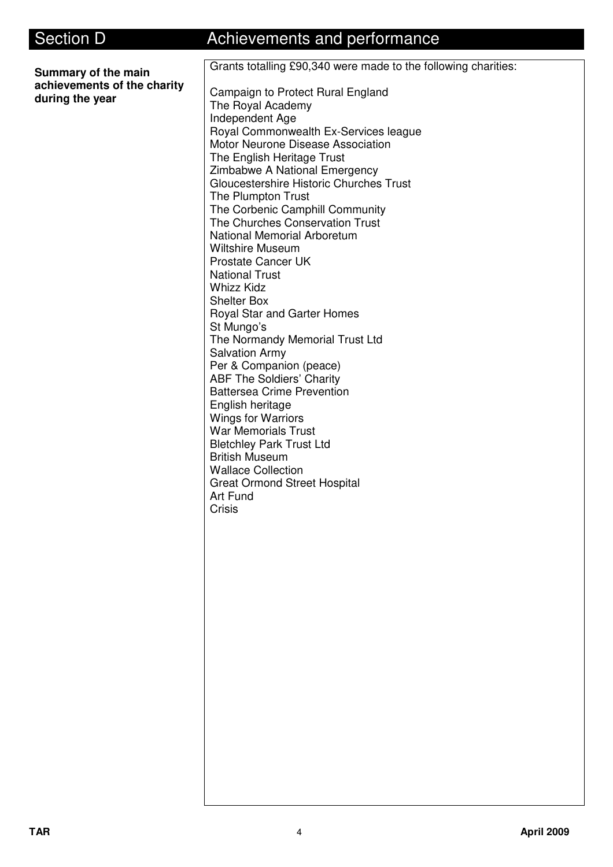**Summary of the main achievements of the charity during the year**

### Section D **Achievements and performance**

Grants totalling £90,340 were made to the following charities: Campaign to Protect Rural England The Royal Academy Independent Age Royal Commonwealth Ex-Services league Motor Neurone Disease Association The English Heritage Trust Zimbabwe A National Emergency Gloucestershire Historic Churches Trust The Plumpton Trust The Corbenic Camphill Community The Churches Conservation Trust National Memorial Arboretum Wiltshire Museum Prostate Cancer UK National Trust Whizz Kidz Shelter Box Royal Star and Garter Homes St Mungo's The Normandy Memorial Trust Ltd Salvation Army Per & Companion (peace) ABF The Soldiers' Charity Battersea Crime Prevention English heritage Wings for Warriors War Memorials Trust Bletchley Park Trust Ltd British Museum Wallace Collection Great Ormond Street Hospital Art Fund **Crisis**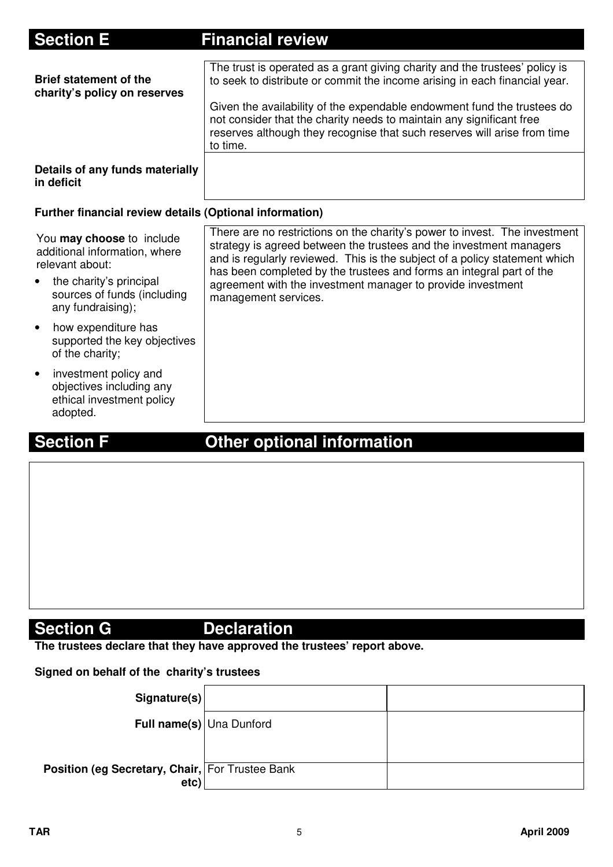| <b>Section E</b>                                                                                                                                             | <b>Financial review</b>                                                                                                                                                                                                                                                                                                                                                                        |
|--------------------------------------------------------------------------------------------------------------------------------------------------------------|------------------------------------------------------------------------------------------------------------------------------------------------------------------------------------------------------------------------------------------------------------------------------------------------------------------------------------------------------------------------------------------------|
| <b>Brief statement of the</b><br>charity's policy on reserves                                                                                                | The trust is operated as a grant giving charity and the trustees' policy is<br>to seek to distribute or commit the income arising in each financial year.                                                                                                                                                                                                                                      |
|                                                                                                                                                              | Given the availability of the expendable endowment fund the trustees do<br>not consider that the charity needs to maintain any significant free<br>reserves although they recognise that such reserves will arise from time<br>to time.                                                                                                                                                        |
| Details of any funds materially<br>in deficit                                                                                                                |                                                                                                                                                                                                                                                                                                                                                                                                |
| Further financial review details (Optional information)                                                                                                      |                                                                                                                                                                                                                                                                                                                                                                                                |
| You may choose to include<br>additional information, where<br>relevant about:<br>the charity's principal<br>sources of funds (including<br>any fundraising); | There are no restrictions on the charity's power to invest. The investment<br>strategy is agreed between the trustees and the investment managers<br>and is regularly reviewed. This is the subject of a policy statement which<br>has been completed by the trustees and forms an integral part of the<br>agreement with the investment manager to provide investment<br>management services. |
| how expenditure has<br>$\bullet$<br>supported the key objectives<br>of the charity;                                                                          |                                                                                                                                                                                                                                                                                                                                                                                                |
| investment policy and<br>$\bullet$<br>objectives including any<br>ethical investment policy<br>adopted.                                                      |                                                                                                                                                                                                                                                                                                                                                                                                |

# **Section F Communist Contract Other optional information**

# **Section G** Declaration

**The trustees declare that they have approved the trustees' report above.** 

#### **Signed on behalf of the charity's trustees**

| Signature(s)                                            |  |
|---------------------------------------------------------|--|
| <b>Full name(s)</b> Una Dunford                         |  |
|                                                         |  |
| Position (eg Secretary, Chair, For Trustee Bank<br>etc) |  |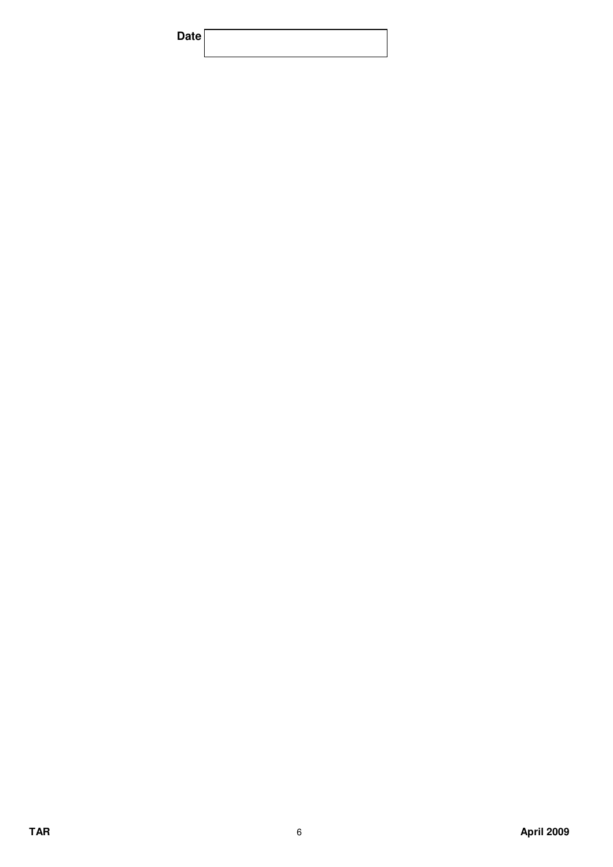| <b>Date</b> |  |
|-------------|--|
|             |  |
|             |  |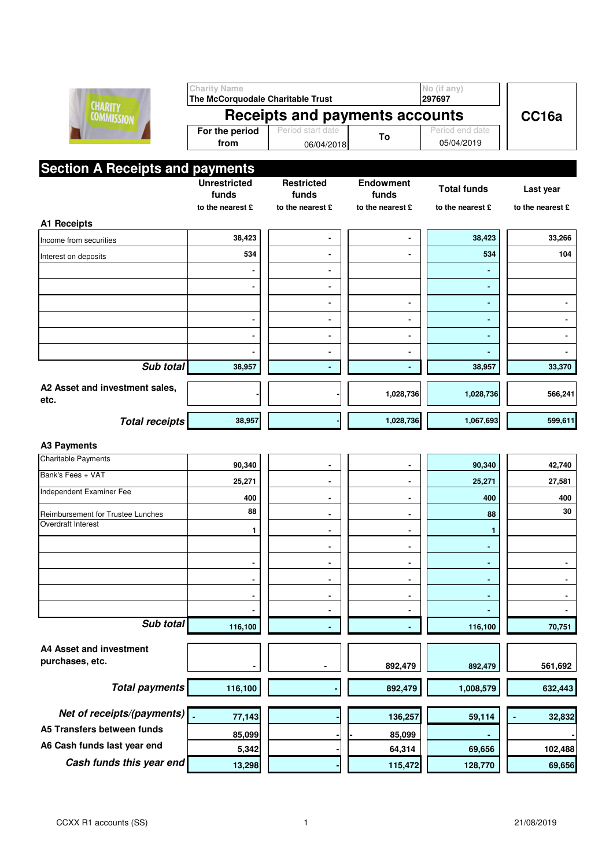|  | <b>CHARITY</b><br><b>COMMISSION</b> |  |
|--|-------------------------------------|--|
|--|-------------------------------------|--|

|                                                  | <b>Charity Name</b><br>The McCorquodale Charitable Trust |                                 |                  | No (if any)<br>297697         |                  |
|--------------------------------------------------|----------------------------------------------------------|---------------------------------|------------------|-------------------------------|------------------|
| <b>CHARITY</b><br><b>COMMISSION</b>              | <b>Receipts and payments accounts</b>                    |                                 |                  |                               | CC16a            |
|                                                  | For the period<br>from                                   | Period start date<br>06/04/2018 | To               | Period end date<br>05/04/2019 |                  |
|                                                  |                                                          |                                 |                  |                               |                  |
| <b>Section A Receipts and payments</b>           | <b>Unrestricted</b>                                      | <b>Restricted</b>               | <b>Endowment</b> |                               |                  |
|                                                  | funds                                                    | funds                           | funds            | <b>Total funds</b>            | Last year        |
|                                                  | to the nearest £                                         | to the nearest £                | to the nearest £ | to the nearest £              | to the nearest £ |
| <b>A1 Receipts</b>                               |                                                          |                                 |                  |                               |                  |
| Income from securities                           | 38,423                                                   | ۰                               |                  | 38,423                        | 33,266           |
| Interest on deposits                             | 534                                                      | ٠                               |                  | 534                           | 104              |
|                                                  |                                                          | ٠                               |                  | ٠                             |                  |
|                                                  |                                                          | ٠                               |                  | $\blacksquare$                |                  |
|                                                  |                                                          | ٠                               | ٠                | ٠                             |                  |
|                                                  |                                                          | ٠                               |                  | ٠                             |                  |
|                                                  |                                                          | ٠                               |                  |                               |                  |
|                                                  |                                                          | ٠                               | ٠                |                               |                  |
| Sub total                                        | 38,957                                                   |                                 |                  | 38,957                        | 33,370           |
| A2 Asset and investment sales,                   |                                                          |                                 |                  |                               |                  |
| etc.                                             |                                                          |                                 | 1,028,736        | 1,028,736                     | 566,241          |
| <b>Total receipts</b>                            | 38,957                                                   |                                 | 1,028,736        | 1,067,693                     | 599,611          |
|                                                  |                                                          |                                 |                  |                               |                  |
| <b>A3 Payments</b><br><b>Charitable Payments</b> |                                                          |                                 |                  |                               |                  |
| Bank's Fees + VAT                                | 90,340                                                   | ٠                               | ٠                | 90,340                        | 42,740           |
| Independent Examiner Fee                         | 25,271                                                   | ٠                               | ۰                | 25,271                        | 27,581           |
|                                                  | 400                                                      | ۰                               | ۰                | 400                           | 400              |
| Reimbursement for Trustee Lunches                | 88                                                       | ٠                               | $\blacksquare$   | 88                            | 30               |
| Overdraft Interest                               | 1                                                        | $\blacksquare$                  | ٠                | 1                             |                  |
|                                                  |                                                          | ٠                               | ۰                |                               |                  |
|                                                  |                                                          | ٠                               | ٠                |                               |                  |
|                                                  |                                                          | ٠                               | ٠                | ٠                             |                  |
|                                                  |                                                          | ٠                               | $\blacksquare$   | ٠                             |                  |
|                                                  |                                                          | $\blacksquare$                  |                  |                               |                  |
| Sub total                                        | 116,100                                                  | ٠                               |                  | 116,100                       | 70,751           |
| A4 Asset and investment                          |                                                          |                                 |                  |                               |                  |
| purchases, etc.                                  |                                                          |                                 | 892,479          | 892,479                       | 561,692          |
|                                                  |                                                          |                                 |                  |                               |                  |
| <b>Total payments</b>                            | 116,100                                                  |                                 | 892,479          | 1,008,579                     | 632,443          |
| Net of receipts/(payments)                       | 77,143                                                   |                                 | 136,257          | 59,114                        | 32,832           |
| A5 Transfers between funds                       |                                                          |                                 |                  |                               |                  |
| A6 Cash funds last year end                      | 85,099<br>5,342                                          |                                 | 85,099<br>64,314 | 69,656                        | 102,488          |
| Cash funds this year end                         | 13,298                                                   |                                 | 115,472          | 128,770                       | 69,656           |
|                                                  |                                                          |                                 |                  |                               |                  |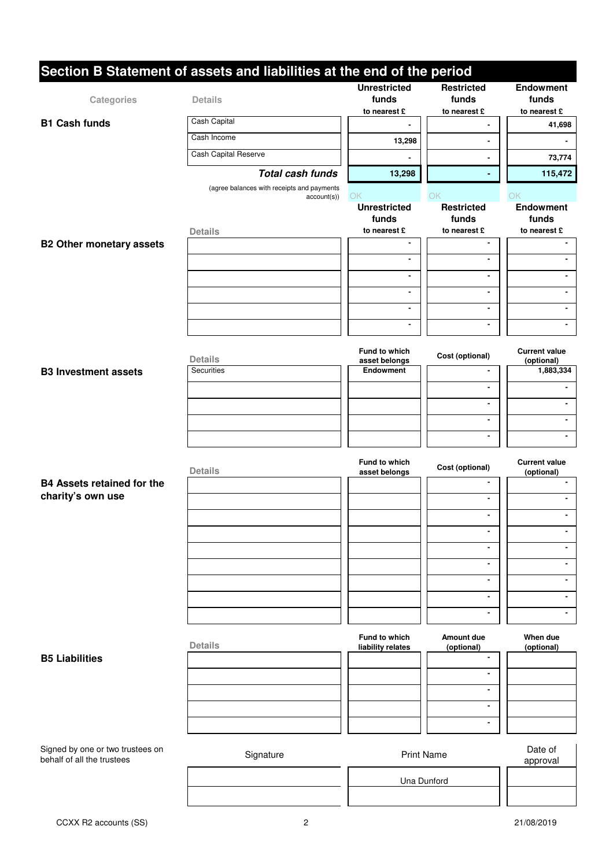|                                                                | Section B Statement of assets and liabilities at the end of the period |                                              |                                            |                                           |
|----------------------------------------------------------------|------------------------------------------------------------------------|----------------------------------------------|--------------------------------------------|-------------------------------------------|
| Categories                                                     | <b>Details</b>                                                         | <b>Unrestricted</b><br>funds<br>to nearest £ | <b>Restricted</b><br>funds<br>to nearest £ | <b>Endowment</b><br>funds<br>to nearest £ |
| <b>B1 Cash funds</b>                                           | Cash Capital                                                           |                                              | ä,                                         | 41,698                                    |
|                                                                | Cash Income                                                            | 13,298                                       | ٠                                          | ÷,                                        |
|                                                                | Cash Capital Reserve                                                   |                                              |                                            | 73,774                                    |
|                                                                | <b>Total cash funds</b>                                                | 13,298                                       |                                            | 115,472                                   |
|                                                                | (agree balances with receipts and payments                             |                                              | OK                                         | OK                                        |
|                                                                | account(s))                                                            | OK<br><b>Unrestricted</b>                    | <b>Restricted</b>                          | <b>Endowment</b>                          |
|                                                                |                                                                        | funds                                        | funds                                      | funds                                     |
|                                                                | <b>Details</b>                                                         | to nearest £<br>$\blacksquare$               | to nearest £<br>$\blacksquare$             | to nearest £<br>$\blacksquare$            |
| <b>B2 Other monetary assets</b>                                |                                                                        | ٠                                            | $\blacksquare$                             | $\blacksquare$                            |
|                                                                |                                                                        |                                              |                                            |                                           |
|                                                                |                                                                        | ä,                                           | ä,                                         | $\blacksquare$                            |
|                                                                |                                                                        | ٠                                            | ٠                                          | ٠                                         |
|                                                                |                                                                        | L.                                           | $\blacksquare$                             | $\blacksquare$                            |
|                                                                |                                                                        | $\overline{a}$                               | $\blacksquare$                             | ÷.                                        |
|                                                                | <b>Details</b>                                                         | Fund to which<br>asset belongs               | Cost (optional)                            | <b>Current value</b><br>(optional)        |
| <b>B3 Investment assets</b>                                    | Securities                                                             | <b>Endowment</b>                             | $\blacksquare$                             | 1,883,334                                 |
|                                                                |                                                                        |                                              | ä,                                         | $\blacksquare$                            |
|                                                                |                                                                        |                                              | ۰                                          | $\blacksquare$                            |
|                                                                |                                                                        |                                              | $\blacksquare$                             |                                           |
|                                                                |                                                                        |                                              | ٠                                          |                                           |
|                                                                | <b>Details</b>                                                         | <b>Fund to which</b>                         | Cost (optional)                            | <b>Current value</b>                      |
| <b>B4 Assets retained for the</b>                              |                                                                        | asset belongs                                | ٠                                          | (optional)                                |
| charity's own use                                              |                                                                        |                                              | ٠                                          | ٠                                         |
|                                                                |                                                                        |                                              | ۰                                          | ÷,                                        |
|                                                                |                                                                        |                                              |                                            | ٠                                         |
|                                                                |                                                                        |                                              | ٠                                          | $\blacksquare$                            |
|                                                                |                                                                        |                                              | ٠                                          | ٠                                         |
|                                                                |                                                                        |                                              | ä,                                         | $\blacksquare$                            |
|                                                                |                                                                        |                                              | $\blacksquare$                             | ٠                                         |
|                                                                |                                                                        |                                              |                                            |                                           |
|                                                                |                                                                        |                                              | ٠                                          | ۰                                         |
|                                                                | <b>Details</b>                                                         | Fund to which<br>liability relates           | Amount due<br>(optional)                   | When due<br>(optional)                    |
| <b>B5 Liabilities</b>                                          |                                                                        |                                              | ä,                                         |                                           |
|                                                                |                                                                        |                                              | ä,                                         |                                           |
|                                                                |                                                                        |                                              | ä,                                         |                                           |
|                                                                |                                                                        |                                              | $\blacksquare$                             |                                           |
|                                                                |                                                                        |                                              | ä,                                         |                                           |
| Signed by one or two trustees on<br>behalf of all the trustees | Signature                                                              | <b>Print Name</b>                            |                                            | Date of<br>approval                       |
|                                                                |                                                                        |                                              | Una Dunford                                |                                           |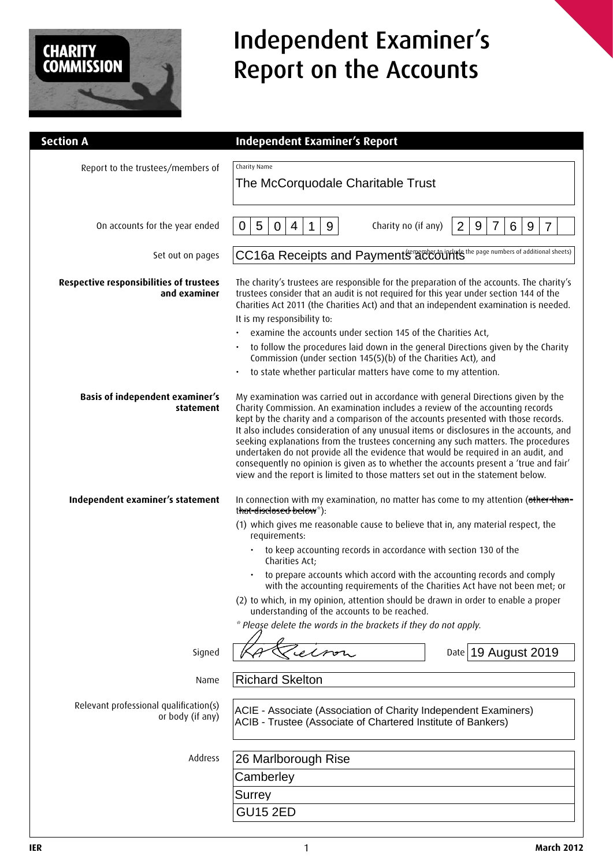

# Independent Examiner's Report on the Accounts

| <b>Section A</b>                                               | <b>Independent Examiner's Report</b>                                                                                                                                                                                                                                                                                                                                                                                                                                                                                                                                                                                                                                                                         |  |  |  |
|----------------------------------------------------------------|--------------------------------------------------------------------------------------------------------------------------------------------------------------------------------------------------------------------------------------------------------------------------------------------------------------------------------------------------------------------------------------------------------------------------------------------------------------------------------------------------------------------------------------------------------------------------------------------------------------------------------------------------------------------------------------------------------------|--|--|--|
| Report to the trustees/members of                              | Charity Name                                                                                                                                                                                                                                                                                                                                                                                                                                                                                                                                                                                                                                                                                                 |  |  |  |
|                                                                | The McCorquodale Charitable Trust                                                                                                                                                                                                                                                                                                                                                                                                                                                                                                                                                                                                                                                                            |  |  |  |
| On accounts for the year ended                                 | 5<br>7<br>0<br>9<br>Charity no (if any)<br>$\overline{2}$<br>9<br>0<br>4<br>1<br>6<br>9<br>$\overline{7}$                                                                                                                                                                                                                                                                                                                                                                                                                                                                                                                                                                                                    |  |  |  |
| Set out on pages                                               | CC16a Receipts and Payments and state of the page numbers of additional sheets)                                                                                                                                                                                                                                                                                                                                                                                                                                                                                                                                                                                                                              |  |  |  |
| <b>Respective responsibilities of trustees</b><br>and examiner | The charity's trustees are responsible for the preparation of the accounts. The charity's<br>trustees consider that an audit is not required for this year under section 144 of the<br>Charities Act 2011 (the Charities Act) and that an independent examination is needed.<br>It is my responsibility to:                                                                                                                                                                                                                                                                                                                                                                                                  |  |  |  |
|                                                                | examine the accounts under section 145 of the Charities Act,                                                                                                                                                                                                                                                                                                                                                                                                                                                                                                                                                                                                                                                 |  |  |  |
|                                                                | to follow the procedures laid down in the general Directions given by the Charity<br>Commission (under section 145(5)(b) of the Charities Act), and                                                                                                                                                                                                                                                                                                                                                                                                                                                                                                                                                          |  |  |  |
|                                                                | to state whether particular matters have come to my attention.                                                                                                                                                                                                                                                                                                                                                                                                                                                                                                                                                                                                                                               |  |  |  |
| <b>Basis of independent examiner's</b><br>statement            | My examination was carried out in accordance with general Directions given by the<br>Charity Commission. An examination includes a review of the accounting records<br>kept by the charity and a comparison of the accounts presented with those records.<br>It also includes consideration of any unusual items or disclosures in the accounts, and<br>seeking explanations from the trustees concerning any such matters. The procedures<br>undertaken do not provide all the evidence that would be required in an audit, and<br>consequently no opinion is given as to whether the accounts present a 'true and fair'<br>view and the report is limited to those matters set out in the statement below. |  |  |  |
| Independent examiner's statement                               | In connection with my examination, no matter has come to my attention (other than-<br>that-disclosed below"):                                                                                                                                                                                                                                                                                                                                                                                                                                                                                                                                                                                                |  |  |  |
|                                                                | (1) which gives me reasonable cause to believe that in, any material respect, the<br>requirements:                                                                                                                                                                                                                                                                                                                                                                                                                                                                                                                                                                                                           |  |  |  |
|                                                                | to keep accounting records in accordance with section 130 of the<br>$\bullet$<br>Charities Act;                                                                                                                                                                                                                                                                                                                                                                                                                                                                                                                                                                                                              |  |  |  |
|                                                                | to prepare accounts which accord with the accounting records and comply<br>with the accounting requirements of the Charities Act have not been met; or                                                                                                                                                                                                                                                                                                                                                                                                                                                                                                                                                       |  |  |  |
|                                                                | (2) to which, in my opinion, attention should be drawn in order to enable a proper<br>understanding of the accounts to be reached.                                                                                                                                                                                                                                                                                                                                                                                                                                                                                                                                                                           |  |  |  |
|                                                                | * Please delete the words in the brackets if they do not apply.                                                                                                                                                                                                                                                                                                                                                                                                                                                                                                                                                                                                                                              |  |  |  |
| Signed                                                         | Date 19 August 2019<br>ecnon                                                                                                                                                                                                                                                                                                                                                                                                                                                                                                                                                                                                                                                                                 |  |  |  |
| Name                                                           | <b>Richard Skelton</b>                                                                                                                                                                                                                                                                                                                                                                                                                                                                                                                                                                                                                                                                                       |  |  |  |
| Relevant professional qualification(s)<br>or body (if any)     | ACIE - Associate (Association of Charity Independent Examiners)<br>ACIB - Trustee (Associate of Chartered Institute of Bankers)                                                                                                                                                                                                                                                                                                                                                                                                                                                                                                                                                                              |  |  |  |
| Address                                                        | 26 Marlborough Rise                                                                                                                                                                                                                                                                                                                                                                                                                                                                                                                                                                                                                                                                                          |  |  |  |
|                                                                | Camberley                                                                                                                                                                                                                                                                                                                                                                                                                                                                                                                                                                                                                                                                                                    |  |  |  |
|                                                                | Surrey                                                                                                                                                                                                                                                                                                                                                                                                                                                                                                                                                                                                                                                                                                       |  |  |  |
|                                                                | <b>GU15 2ED</b>                                                                                                                                                                                                                                                                                                                                                                                                                                                                                                                                                                                                                                                                                              |  |  |  |